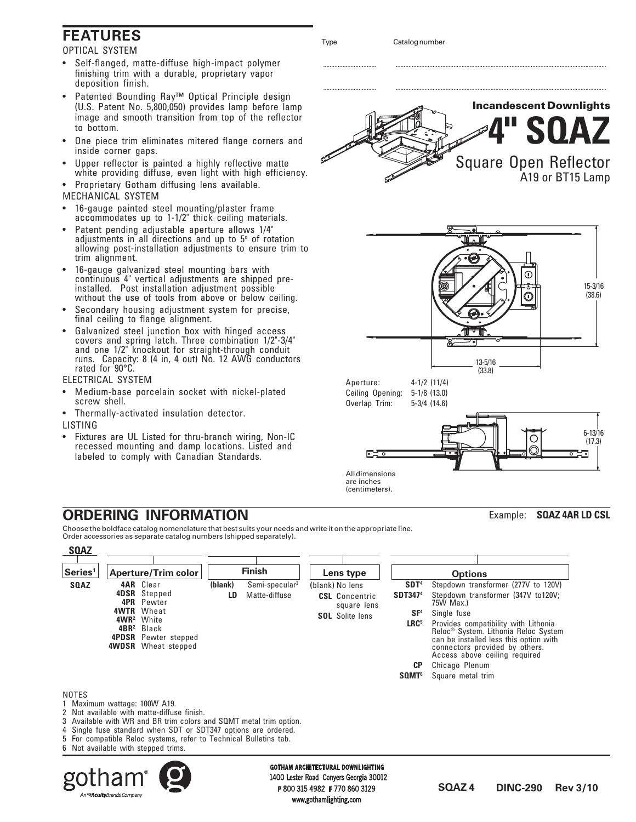# **FEATURES**

OPTICAL SYSTEM

- Self-flanged, matte-diffuse high-impact polymer finishing trim with a durable, proprietary vapor deposition finish.
- Patented Bounding Ray™ Optical Principle design (U.S. Patent No. 5,800,050) provides lamp before lamp image and smooth transition from top of the reflector to bottom.
- One piece trim eliminates mitered flange corners and inside corner gaps.
- Upper reflector is painted a highly reflective matte white providing diffuse, even light with high efficiency.
- Proprietary Gotham diffusing lens available. MECHANICAL SYSTEM
- 16-gauge painted steel mounting/plaster frame accommodates up to 1-1/2" thick ceiling materials.
- Patent pending adjustable aperture allows 1/4" adjustments in all directions and up to  $5^\circ$  of rotation allowing post-installation adjustments to ensure trim to trim alignment.
- 16-gauge galvanized steel mounting bars with continuous 4" vertical adjustments are shipped preinstalled. Post installation adjustment possible without the use of tools from above or below ceiling.
- Secondary housing adjustment system for precise, final ceiling to flange alignment.
- Galvanized steel junction box with hinged access covers and spring latch. Three combination 1/2"-3/4" and one 1/2" knockout for straight-through conduit runs. Capacity: 8 (4 in, 4 out) No. 12 AWG conductors rated for 90°C.

ELECTRICAL SYSTEM

An**<SAcuity**Brands Company

- Medium-base porcelain socket with nickel-plated screw shell.
- Thermally-activated insulation detector.

LISTING

• Fixtures are UL Listed for thru-branch wiring, Non-IC recessed mounting and damp locations. Listed and labeled to comply with Canadian Standards.



Choose the boldface catalog nomenclature that best suits your needs and write it on the appropriate line. Order accessories as separate catalog numbers (shipped separately).



www.gothamlighting.com



................................. ...................................................................................................................................



are inches (centimeters).